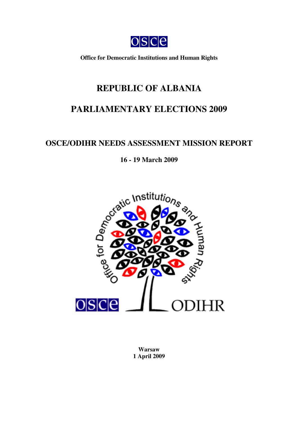

**Office for Democratic Institutions and Human Rights**

# **REPUBLIC OF ALBANIA**

# **PARLIAMENTARY ELECTIONS 2009**

## **OSCE/ODIHR NEEDS ASSESSMENT MISSION REPORT**

## **16 - 19 March 2009**



**Warsaw 1 April 2009**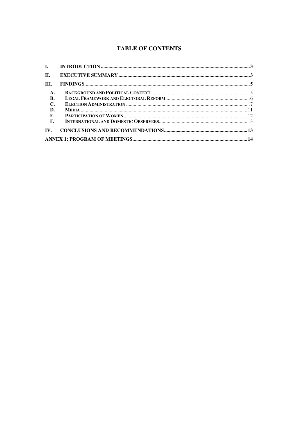## **TABLE OF CONTENTS**

| $\Pi$ .           |  |  |  |
|-------------------|--|--|--|
| III.              |  |  |  |
| $\mathbf{A}$ .    |  |  |  |
| B.                |  |  |  |
| $\mathbf{C}$      |  |  |  |
| D.                |  |  |  |
| Е.                |  |  |  |
| F.                |  |  |  |
| $\mathbf{IV}_{-}$ |  |  |  |
|                   |  |  |  |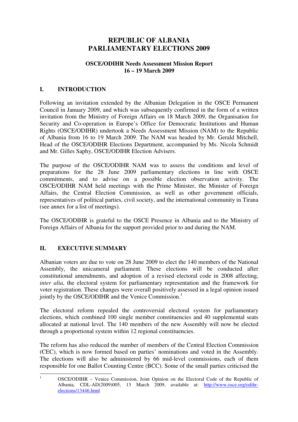## **REPUBLIC OF ALBANIA PARLIAMENTARY ELECTIONS 2009**

#### **OSCE/ODIHR Needs Assessment Mission Report 16 – 19 March 2009**

#### **I. INTRODUCTION**

Following an invitation extended by the Albanian Delegation in the OSCE Permanent Council in January 2009, and which was subsequently confirmed in the form of a written invitation from the Ministry of Foreign Affairs on 18 March 2009, the Organisation for Security and Co-operation in Europe's Office for Democratic Institutions and Human Rights (OSCE/ODIHR) undertook a Needs Assessment Mission (NAM) to the Republic of Albania from 16 to 19 March 2009. The NAM was headed by Mr. Gerald Mitchell, Head of the OSCE/ODIHR Elections Department, accompanied by Ms. Nicola Schmidt and Mr. Gilles Saphy, OSCE/ODIHR Election Advisers.

The purpose of the OSCE/ODIHR NAM was to assess the conditions and level of preparations for the 28 June 2009 parliamentary elections in line with OSCE commitments, and to advise on a possible election observation activity. The OSCE/ODIHR NAM held meetings with the Prime Minister, the Minister of Foreign Affairs, the Central Election Commission, as well as other government officials, representatives of political parties, civil society, and the international community in Tirana (see annex for a list of meetings).

The OSCE/ODIHR is grateful to the OSCE Presence in Albania and to the Ministry of Foreign Affairs of Albania for the support provided prior to and during the NAM.

#### **II. EXECUTIVE SUMMARY**

Albanian voters are due to vote on 28 June 2009 to elect the 140 members of the National Assembly, the unicameral parliament. These elections will be conducted after constitutional amendments, and adoption of a revised electoral code in 2008 affecting, *inter alia*, the electoral system for parliamentary representation and the framework for voter registration. These changes were overall positively assessed in a legal opinion issued jointly by the OSCE/ODIHR and the Venice Commission.<sup>1</sup>

The electoral reform repealed the controversial electoral system for parliamentary elections, which combined 100 single member constituencies and 40 supplemental seats allocated at national level. The 140 members of the new Assembly will now be elected through a proportional system within 12 regional constituencies.

The reform has also reduced the number of members of the Central Election Commission (CEC), which is now formed based on parties' nominations and voted in the Assembly. The elections will also be administered by 66 mid-level commissions, each of them responsible for one Ballot Counting Centre (BCC). Some of the small parties criticised the

<sup>1</sup> OSCE/ODIHR – Venice Commission, Joint Opinion on the Electoral Code of the Republic of Albania, CDL-AD(2009)005, 13 March 2009, available at: http://www.osce.org/odihrelections/13446.html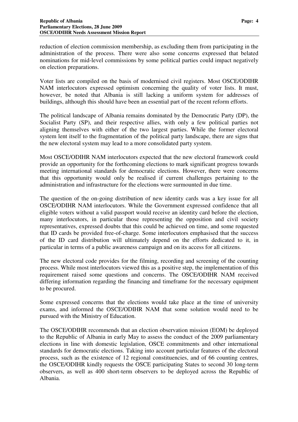reduction of election commission membership, as excluding them from participating in the administration of the process. There were also some concerns expressed that belated nominations for mid-level commissions by some political parties could impact negatively on election preparations.

Voter lists are compiled on the basis of modernised civil registers. Most OSCE/ODIHR NAM interlocutors expressed optimism concerning the quality of voter lists. It must, however, be noted that Albania is still lacking a uniform system for addresses of buildings, although this should have been an essential part of the recent reform efforts.

The political landscape of Albania remains dominated by the Democratic Party (DP), the Socialist Party (SP), and their respective allies, with only a few political parties not aligning themselves with either of the two largest parties. While the former electoral system lent itself to the fragmentation of the political party landscape, there are signs that the new electoral system may lead to a more consolidated party system.

Most OSCE/ODIHR NAM interlocutors expected that the new electoral framework could provide an opportunity for the forthcoming elections to mark significant progress towards meeting international standards for democratic elections. However, there were concerns that this opportunity would only be realised if current challenges pertaining to the administration and infrastructure for the elections were surmounted in due time.

The question of the on-going distribution of new identity cards was a key issue for all OSCE/ODIHR NAM interlocutors. While the Government expressed confidence that all eligible voters without a valid passport would receive an identity card before the election, many interlocutors, in particular those representing the opposition and civil society representatives, expressed doubts that this could be achieved on time, and some requested that ID cards be provided free-of-charge. Some interlocutors emphasised that the success of the ID card distribution will ultimately depend on the efforts dedicated to it, in particular in terms of a public awareness campaign and on its access for all citizens.

The new electoral code provides for the filming, recording and screening of the counting process. While most interlocutors viewed this as a positive step, the implementation of this requirement raised some questions and concerns. The OSCE/ODIHR NAM received differing information regarding the financing and timeframe for the necessary equipment to be procured.

Some expressed concerns that the elections would take place at the time of university exams, and informed the OSCE/ODIHR NAM that some solution would need to be pursued with the Ministry of Education.

The OSCE/ODIHR recommends that an election observation mission (EOM) be deployed to the Republic of Albania in early May to assess the conduct of the 2009 parliamentary elections in line with domestic legislation, OSCE commitments and other international standards for democratic elections. Taking into account particular features of the electoral process, such as the existence of 12 regional constituencies, and of 66 counting centres, the OSCE/ODIHR kindly requests the OSCE participating States to second 30 long-term observers, as well as 400 short-term observers to be deployed across the Republic of Albania.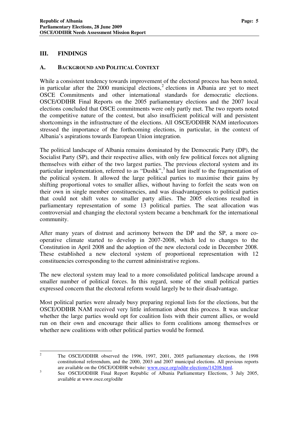#### **III. FINDINGS**

#### **A. BACKGROUND AND POLITICAL CONTEXT**

While a consistent tendency towards improvement of the electoral process has been noted, in particular after the 2000 municipal elections, 2 elections in Albania are yet to meet OSCE Commitments and other international standards for democratic elections. OSCE/ODIHR Final Reports on the 2005 parliamentary elections and the 2007 local elections concluded that OSCE commitments were only partly met. The two reports noted the competitive nature of the contest, but also insufficient political will and persistent shortcomings in the infrastructure of the elections. All OSCE/ODIHR NAM interlocutors stressed the importance of the forthcoming elections, in particular, in the context of Albania's aspirations towards European Union integration.

The political landscape of Albania remains dominated by the Democratic Party (DP), the Socialist Party (SP), and their respective allies, with only few political forces not aligning themselves with either of the two largest parties. The previous electoral system and its particular implementation, referred to as "Dushk",<sup>3</sup> had lent itself to the fragmentation of the political system. It allowed the large political parties to maximise their gains by shifting proportional votes to smaller allies, without having to forfeit the seats won on their own in single member constituencies, and was disadvantageous to political parties that could not shift votes to smaller party allies. The 2005 elections resulted in parliamentary representation of some 13 political parties. The seat allocation was controversial and changing the electoral system became a benchmark for the international community.

After many years of distrust and acrimony between the DP and the SP, a more cooperative climate started to develop in 2007-2008, which led to changes to the Constitution in April 2008 and the adoption of the new electoral code in December 2008. These established a new electoral system of proportional representation with 12 constituencies corresponding to the current administrative regions.

The new electoral system may lead to a more consolidated political landscape around a smaller number of political forces. In this regard, some of the small political parties expressed concern that the electoral reform would largely be to their disadvantage.

Most political parties were already busy preparing regional lists for the elections, but the OSCE/ODIHR NAM received very little information about this process. It was unclear whether the large parties would opt for coalition lists with their current allies, or would run on their own and encourage their allies to form coalitions among themselves or whether new coalitions with other political parties would be formed.

<sup>&</sup>lt;sup>2</sup> The OSCE/ODIHR observed the 1996, 1997, 2001, 2005 parliamentary elections, the 1998 constitutional referendum, and the 2000, 2003 and 2007 municipal elections. All previous reports are available on the OSCE/ODIHR website: www.osce.org/odihr-elections/14208.html.

<sup>3</sup> See OSCE/ODIHR Final Report Republic of Albania Parliamentary Elections, 3 July 2005, available at www.osce.org/odihr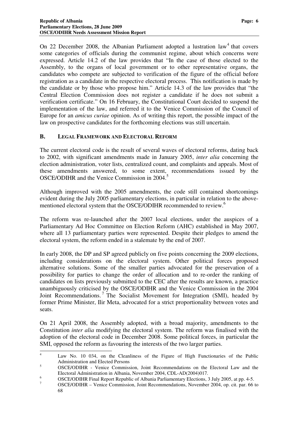On 22 December 2008, the Albanian Parliament adopted a lustration law<sup>4</sup> that covers some categories of officials during the communist regime, about which concerns were expressed. Article 14.2 of the law provides that "In the case of those elected to the Assembly, to the organs of local government or to other representative organs, the candidates who compete are subjected to verification of the figure of the official before registration as a candidate in the respective electoral process. This notification is made by the candidate or by those who propose him." Article 14.3 of the law provides that "the Central Election Commission does not register a candidate if he does not submit a verification certificate." On 16 February, the Constitutional Court decided to suspend the implementation of the law, and referred it to the Venice Commission of the Council of Europe for an *amicus curiae* opinion. As of writing this report, the possible impact of the law on prospective candidates for the forthcoming elections was still uncertain.

#### **B. LEGAL FRAMEWORK AND ELECTORAL REFORM**

The current electoral code is the result of several waves of electoral reforms, dating back to 2002, with significant amendments made in January 2005, *inter alia* concerning the election administration, voter lists, centralized count, and complaints and appeals. Most of these amendments answered, to some extent, recommendations issued by the OSCE/ODIHR and the Venice Commission in 2004. 5

Although improved with the 2005 amendments, the code still contained shortcomings evident during the July 2005 parliamentary elections, in particular in relation to the abovementioned electoral system that the OSCE/ODIHR recommended to review. 6

The reform was re-launched after the 2007 local elections, under the auspices of a Parliamentary Ad Hoc Committee on Election Reform (AHC) established in May 2007, where all 13 parliamentary parties were represented. Despite their pledges to amend the electoral system, the reform ended in a stalemate by the end of 2007.

In early 2008, the DP and SP agreed publicly on five points concerning the 2009 elections, including considerations on the electoral system. Other political forces proposed alternative solutions. Some of the smaller parties advocated for the preservation of a possibility for parties to change the order of allocation and to re-order the ranking of candidates on lists previously submitted to the CEC after the results are known, a practice unambiguously criticised by the OSCE/ODIHR and the Venice Commission in the 2004 Joint Recommendations.<sup>7</sup> The Socialist Movement for Integration (SMI), headed by former Prime Minister, Ilir Meta, advocated for a strict proportionality between votes and seats.

On 21 April 2008, the Assembly adopted, with a broad majority, amendments to the Constitution *inter alia* modifying the electoral system. The reform was finalised with the adoption of the electoral code in December 2008. Some political forces, in particular the SMI, opposed the reform as favouring the interests of the two larger parties.

<sup>4</sup> Law No. 10 034, on the Cleanliness of the Figure of High Functionaries of the Public Administration and Elected Persons

<sup>&</sup>lt;sup>5</sup> OSCE/ODIHR - Venice Commission, Joint Recommendations on the Electoral Law and the Electoral Administration in Albania, November 2004, CDL-AD(2004)017.

<sup>6</sup> OSCE/ODIHR Final Report Republic of Albania Parliamentary Elections, 3 July 2005, at pp. 4-5.

<sup>7</sup> OSCE/ODIHR – Venice Commission, Joint Recommendations, November 2004, op. cit. par. 66 to 68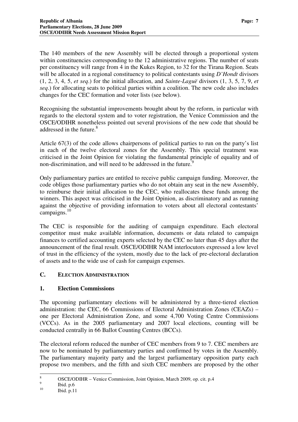The 140 members of the new Assembly will be elected through a proportional system within constituencies corresponding to the 12 administrative regions. The number of seats per constituency will range from 4 in the Kukes Region, to 32 for the Tirana Region. Seats will be allocated in a regional constituency to political contestants using *D'Hondt* divisors (1, 2, 3, 4, 5, *et seq*.) for the initial allocation, and *Sainte-Laguë* divisors (1, 3, 5, 7, 9, *et seq*.) for allocating seats to political parties within a coalition. The new code also includes changes for the CEC formation and voter lists (see below).

Recognising the substantial improvements brought about by the reform, in particular with regards to the electoral system and to voter registration, the Venice Commission and the OSCE/ODIHR nonetheless pointed out several provisions of the new code that should be addressed in the future. 8

Article 67(3) of the code allows chairpersons of political parties to run on the party's list in each of the twelve electoral zones for the Assembly. This special treatment was criticised in the Joint Opinion for violating the fundamental principle of equality and of non-discrimination, and will need to be addressed in the future.<sup>9</sup>

Only parliamentary parties are entitled to receive public campaign funding. Moreover, the code obliges those parliamentary parties who do not obtain any seat in the new Assembly, to reimburse their initial allocation to the CEC, who reallocates these funds among the winners. This aspect was criticised in the Joint Opinion, as discriminatory and as running against the objective of providing information to voters about all electoral contestants' campaigns. 10

The CEC is responsible for the auditing of campaign expenditure. Each electoral competitor must make available information, documents or data related to campaign finances to certified accounting experts selected by the CEC no later than 45 days after the announcement of the final result. OSCE/ODIHR NAM interlocutors expressed a low level of trust in the efficiency of the system, mostly due to the lack of pre-electoral declaration of assets and to the wide use of cash for campaign expenses.

#### **C. ELECTION ADMINISTRATION**

#### **1. Election Commissions**

The upcoming parliamentary elections will be administered by a three-tiered election administration: the CEC, 66 Commissions of Electoral Administration Zones (CEAZs) – one per Electoral Administration Zone, and some 4,700 Voting Centre Commissions (VCCs). As in the 2005 parliamentary and 2007 local elections, counting will be conducted centrally in 66 Ballot Counting Centres (BCCs).

The electoral reform reduced the number of CEC members from 9 to 7. CEC members are now to be nominated by parliamentary parties and confirmed by votes in the Assembly. The parliamentary majority party and the largest parliamentary opposition party each propose two members, and the fifth and sixth CEC members are proposed by the other

<sup>8</sup> OSCE/ODIHR – Venice Commission, Joint Opinion, March 2009, op. cit. p.4

<sup>9</sup> Ibid. p.6

<sup>10</sup> Ibid. p.11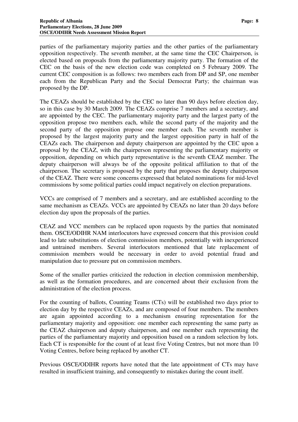parties of the parliamentary majority parties and the other parties of the parliamentary opposition respectively. The seventh member, at the same time the CEC Chairperson, is elected based on proposals from the parliamentary majority party. The formation of the CEC on the basis of the new election code was completed on 5 February 2009. The current CEC composition is as follows: two members each from DP and SP, one member each from the Republican Party and the Social Democrat Party; the chairman was proposed by the DP.

The CEAZs should be established by the CEC no later than 90 days before election day, so in this case by 30 March 2009. The CEAZs comprise 7 members and a secretary, and are appointed by the CEC. The parliamentary majority party and the largest party of the opposition propose two members each, while the second party of the majority and the second party of the opposition propose one member each. The seventh member is proposed by the largest majority party and the largest opposition party in half of the CEAZs each. The chairperson and deputy chairperson are appointed by the CEC upon a proposal by the CEAZ, with the chairperson representing the parliamentary majority or opposition, depending on which party representative is the seventh CEAZ member. The deputy chairperson will always be of the opposite political affiliation to that of the chairperson. The secretary is proposed by the party that proposes the deputy chairperson of the CEAZ. There were some concerns expressed that belated nominations for mid-level commissions by some political parties could impact negatively on election preparations.

VCCs are comprised of 7 members and a secretary, and are established according to the same mechanism as CEAZs. VCCs are appointed by CEAZs no later than 20 days before election day upon the proposals of the parties.

CEAZ and VCC members can be replaced upon requests by the parties that nominated them. OSCE/ODIHR NAM interlocutors have expressed concern that this provision could lead to late substitutions of election commission members, potentially with inexperienced and untrained members. Several interlocutors mentioned that late replacement of commission members would be necessary in order to avoid potential fraud and manipulation due to pressure put on commission members.

Some of the smaller parties criticized the reduction in election commission membership, as well as the formation procedures, and are concerned about their exclusion from the administration of the election process.

For the counting of ballots, Counting Teams (CTs) will be established two days prior to election day by the respective CEAZs, and are composed of four members. The members are again appointed according to a mechanism ensuring representation for the parliamentary majority and opposition: one member each representing the same party as the CEAZ chairperson and deputy chairperson, and one member each representing the parties of the parliamentary majority and opposition based on a random selection by lots. Each CT is responsible for the count of at least five Voting Centres, but not more than 10 Voting Centres, before being replaced by another CT.

Previous OSCE/ODIHR reports have noted that the late appointment of CTs may have resulted in insufficient training, and consequently to mistakes during the count itself.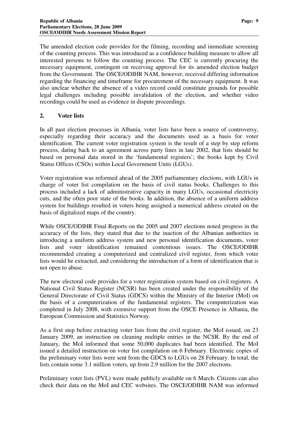The amended election code provides for the filming, recording and immediate screening of the counting process. This was introduced as a confidence building measure to allow all interested persons to follow the counting process. The CEC is currently procuring the necessary equipment, contingent on receiving approval for its amended election budget from the Government. The OSCE/ODIHR NAM, however, received differing information regarding the financing and timeframe for procurement of the necessary equipment. It was also unclear whether the absence of a video record could constitute grounds for possible legal challenges including possible invalidation of the election, and whether video recordings could be used as evidence in dispute proceedings.

#### **2. Voter lists**

In all past election processes in Albania, voter lists have been a source of controversy, especially regarding their accuracy and the documents used as a basis for voter identification. The current voter registration system is the result of a step by step reform process, dating back to an agreement across party lines in late 2002, that lists should be based on personal data stored in the 'fundamental registers'; the books kept by Civil Status Offices (CSOs) within Local Government Units (LGUs).

Voter registration was reformed ahead of the 2005 parliamentary elections, with LGUs in charge of voter list compilation on the basis of civil status books. Challenges to this process included a lack of administrative capacity in many LGUs, occasional electricity cuts, and the often poor state of the books. In addition, the absence of a uniform address system for buildings resulted in voters being assigned a numerical address created on the basis of digitalized maps of the country.

While OSCE/ODIHR Final Reports on the 2005 and 2007 elections noted progress in the accuracy of the lists, they stated that due to the inaction of the Albanian authorities in introducing a uniform address system and new personal identification documents, voter lists and voter identification remained contentious issues. The OSCE/ODIHR recommended creating a computerized and centralized civil register, from which voter lists would be extracted, and considering the introduction of a form of identification that is not open to abuse.

The new electoral code provides for a voter registration system based on civil registers. A National Civil Status Register (NCSR) has been created under the responsibility of the General Directorate of Civil Status (GDCS) within the Ministry of the Interior (MoI) on the basis of a computerization of the fundamental registers. The computerization was completed in July 2008, with extensive support from the OSCE Presence in Albania, the European Commission and Statistics Norway.

As a first step before extracting voter lists from the civil register, the MoI issued, on 23 January 2009, an instruction on cleaning multiple entries in the NCSR. By the end of January, the MoI informed that some 50,000 duplicates had been identified. The MoI issued a detailed instruction on voter list compilation on 6 February. Electronic copies of the preliminary voter lists were sent from the GDCS to LGUs on 28 February. In total, the lists contain some 3.1 million voters, up from 2.9 million for the 2007 elections.

Preliminary voter lists (PVL) were made publicly available on 6 March. Citizens can also check their data on the MoI and CEC websites. The OSCE/ODIHR NAM was informed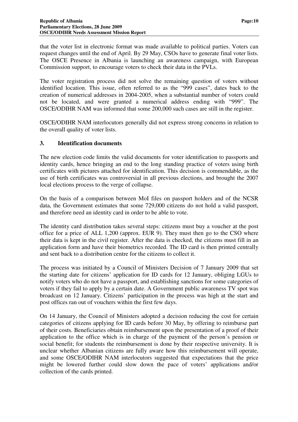that the voter list in electronic format was made available to political parties. Voters can request changes until the end of April. By 29 May, CSOs have to generate final voter lists. The OSCE Presence in Albania is launching an awareness campaign, with European Commission support, to encourage voters to check their data in the PVLs.

The voter registration process did not solve the remaining question of voters without identified location. This issue, often referred to as the "999 cases", dates back to the creation of numerical addresses in 2004-2005, when a substantial number of voters could not be located, and were granted a numerical address ending with "999". The OSCE/ODIHR NAM was informed that some 200,000 such cases are still in the register.

OSCE/ODIHR NAM interlocutors generally did not express strong concerns in relation to the overall quality of voter lists.

#### **3. Identification documents**

The new election code limits the valid documents for voter identification to passports and identity cards, hence bringing an end to the long standing practice of voters using birth certificates with pictures attached for identification. This decision is commendable, as the use of birth certificates was controversial in all previous elections, and brought the 2007 local elections process to the verge of collapse.

On the basis of a comparison between MoI files on passport holders and of the NCSR data, the Government estimates that some 729,000 citizens do not hold a valid passport, and therefore need an identity card in order to be able to vote.

The identity card distribution takes several steps: citizens must buy a voucher at the post office for a price of ALL 1,200 (approx. EUR 9). They must then go to the CSO where their data is kept in the civil register. After the data is checked, the citizens must fill in an application form and have their biometrics recorded. The ID card is then printed centrally and sent back to a distribution centre for the citizens to collect it.

The process was initiated by a Council of Ministers Decision of 7 January 2009 that set the starting date for citizens' application for ID cards for 12 January, obliging LGUs to notify voters who do not have a passport, and establishing sanctions for some categories of voters if they fail to apply by a certain date. A Government public awareness TV spot was broadcast on 12 January. Citizens' participation in the process was high at the start and post offices ran out of vouchers within the first few days.

On 14 January, the Council of Ministers adopted a decision reducing the cost for certain categories of citizens applying for ID cards before 30 May, by offering to reimburse part of their costs. Beneficiaries obtain reimbursement upon the presentation of a proof of their application to the office which is in charge of the payment of the person's pension or social benefit; for students the reimbursement is done by their respective university. It is unclear whether Albanian citizens are fully aware how this reimbursement will operate, and some OSCE/ODIHR NAM interlocutors suggested that expectations that the price might be lowered further could slow down the pace of voters' applications and/or collection of the cards printed.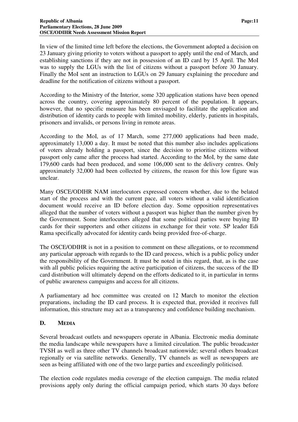In view of the limited time left before the elections, the Government adopted a decision on 23 January giving priority to voters without a passport to apply until the end of March, and establishing sanctions if they are not in possession of an ID card by 15 April. The MoI was to supply the LGUs with the list of citizens without a passport before 30 January. Finally the MoI sent an instruction to LGUs on 29 January explaining the procedure and deadline for the notification of citizens without a passport.

According to the Ministry of the Interior, some 320 application stations have been opened across the country, covering approximately 80 percent of the population. It appears, however, that no specific measure has been envisaged to facilitate the application and distribution of identity cards to people with limited mobility, elderly, patients in hospitals, prisoners and invalids, or persons living in remote areas.

According to the MoI, as of 17 March, some 277,000 applications had been made, approximately 13,000 a day. It must be noted that this number also includes applications of voters already holding a passport, since the decision to prioritise citizens without passport only came after the process had started. According to the MoI, by the same date 179,600 cards had been produced, and some 106,000 sent to the delivery centres. Only approximately 32,000 had been collected by citizens, the reason for this low figure was unclear.

Many OSCE/ODIHR NAM interlocutors expressed concern whether, due to the belated start of the process and with the current pace, all voters without a valid identification document would receive an ID before election day. Some opposition representatives alleged that the number of voters without a passport was higher than the number given by the Government. Some interlocutors alleged that some political parties were buying ID cards for their supporters and other citizens in exchange for their vote. SP leader Edi Rama specifically advocated for identity cards being provided free-of-charge.

The OSCE/ODIHR is not in a position to comment on these allegations, or to recommend any particular approach with regards to the ID card process, which is a public policy under the responsibility of the Government. It must be noted in this regard, that, as is the case with all public policies requiring the active participation of citizens, the success of the ID card distribution will ultimately depend on the efforts dedicated to it, in particular in terms of public awareness campaigns and access for all citizens.

A parliamentary ad hoc committee was created on 12 March to monitor the election preparations, including the ID card process. It is expected that, provided it receives full information, this structure may act as a transparency and confidence building mechanism.

#### **D. MEDIA**

Several broadcast outlets and newspapers operate in Albania. Electronic media dominate the media landscape while newspapers have a limited circulation. The public broadcaster TVSH as well as three other TV channels broadcast nationwide; several others broadcast regionally or via satellite networks. Generally, TV channels as well as newspapers are seen as being affiliated with one of the two large parties and exceedingly politicised.

The election code regulates media coverage of the election campaign. The media related provisions apply only during the official campaign period, which starts 30 days before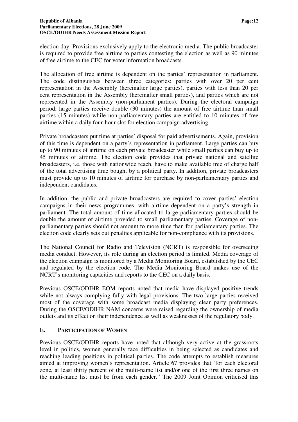election day. Provisions exclusively apply to the electronic media. The public broadcaster is required to provide free airtime to parties contesting the election as well as 90 minutes of free airtime to the CEC for voter information broadcasts.

The allocation of free airtime is dependent on the parties' representation in parliament. The code distinguishes between three categories: parties with over 20 per cent representation in the Assembly (hereinafter large parties), parties with less than 20 per cent representation in the Assembly (hereinafter small parties), and parties which are not represented in the Assembly (non-parliament parties). During the electoral campaign period, large parties receive double (30 minutes) the amount of free airtime than small parties (15 minutes) while non-parliamentary parties are entitled to 10 minutes of free airtime within a daily four-hour slot for election campaign advertising.

Private broadcasters put time at parties' disposal for paid advertisements. Again, provision of this time is dependent on a party's representation in parliament. Large parties can buy up to 90 minutes of airtime on each private broadcaster while small parties can buy up to 45 minutes of airtime. The election code provides that private national and satellite broadcasters, i.e. those with nationwide reach, have to make available free of charge half of the total advertising time bought by a political party. In addition, private broadcasters must provide up to 10 minutes of airtime for purchase by non-parliamentary parties and independent candidates.

In addition, the public and private broadcasters are required to cover parties' election campaigns in their news programmes, with airtime dependent on a party's strength in parliament. The total amount of time allocated to large parliamentary parties should be double the amount of airtime provided to small parliamentary parties. Coverage of nonparliamentary parties should not amount to more time than for parliamentary parties. The election code clearly sets out penalties applicable for non-compliance with its provisions.

The National Council for Radio and Television (NCRT) is responsible for overseeing media conduct. However, its role during an election period is limited. Media coverage of the election campaign is monitored by a Media Monitoring Board, established by the CEC and regulated by the election code. The Media Monitoring Board makes use of the NCRT's monitoring capacities and reports to the CEC on a daily basis.

Previous OSCE/ODIHR EOM reports noted that media have displayed positive trends while not always complying fully with legal provisions. The two large parties received most of the coverage with some broadcast media displaying clear party preferences. During the OSCE/ODIHR NAM concerns were raised regarding the ownership of media outlets and its effect on their independence as well as weaknesses of the regulatory body.

#### **E. PARTICIPATION OF WOMEN**

Previous OSCE/ODIHR reports have noted that although very active at the grassroots level in politics, women generally face difficulties in being selected as candidates and reaching leading positions in political parties. The code attempts to establish measures aimed at improving women's representation. Article 67 provides that "for each electoral zone, at least thirty percent of the multi-name list and/or one of the first three names on the multi-name list must be from each gender." The 2009 Joint Opinion criticised this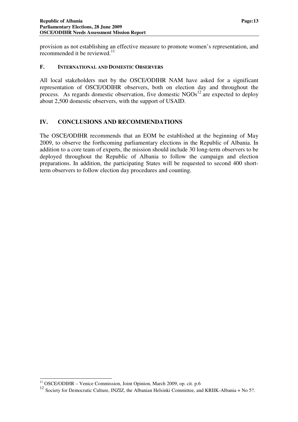provision as not establishing an effective measure to promote women's representation, and recommended it be reviewed.<sup>11</sup>

#### **F. INTERNATIONAL AND DOMESTIC OBSERVERS**

All local stakeholders met by the OSCE/ODIHR NAM have asked for a significant representation of OSCE/ODIHR observers, both on election day and throughout the process. As regards domestic observation, five domestic NGOs<sup>12</sup> are expected to deploy about 2,500 domestic observers, with the support of USAID.

#### **IV. CONCLUSIONS AND RECOMMENDATIONS**

The OSCE/ODIHR recommends that an EOM be established at the beginning of May 2009, to observe the forthcoming parliamentary elections in the Republic of Albania. In addition to a core team of experts, the mission should include 30 long-term observers to be deployed throughout the Republic of Albania to follow the campaign and election preparations. In addition, the participating States will be requested to second 400 shortterm observers to follow election day procedures and counting.

<sup>&</sup>lt;sup>11</sup> OSCE/ODIHR – Venice Commission, Joint Opinion, March 2009, op. cit. p.6

<sup>&</sup>lt;sup>12</sup> Society for Democratic Culture, INZIZ, the Albanian Helsinki Committee, and KRIIK-Albania + No 5?.